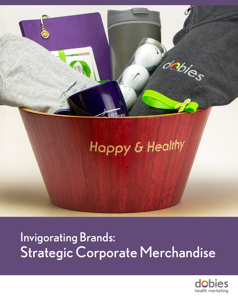

# Invigorating Brands: Strategic Corporate Merchandise

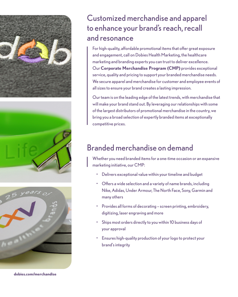





**dobies.com/merchandise**

### Customized merchandise and apparel to enhance your brand's reach, recall and resonance

For high-quality, affordable promotional items that offer great exposure and engagement, call on Dobies Health Marketing, the healthcare marketing and branding experts you can trust to deliver excellence. Our **Corporate Merchandise Program (CMP)** provides exceptional service, quality and pricing to support your branded merchandise needs. We secure apparel and merchandise for customer and employee events of all sizes to ensure your brand creates a lasting impression.

Our team is on the leading edge of the latest trends, with merchandise that will make your brand stand out. By leveraging our relationships with some of the largest distributors of promotional merchandise in the country, we bring you a broad selection of expertly branded items at exceptionally competitive prices.

## Branded merchandise on demand

Whether you need branded items for a one-time occasion or an expansive marketing initiative, our CMP:

- Delivers exceptional value within your timeline and budget
- Offers a wide selection and a variety of name brands, including Nike, Adidas, Under Armour, The North Face, Sony, Garmin and many others
- Provides all forms of decorating screen printing, embroidery, digitizing, laser engraving and more
- Ships most orders directly to you within 10 business days of your approval
- Ensures high-quality production of your logo to protect your brand's integrity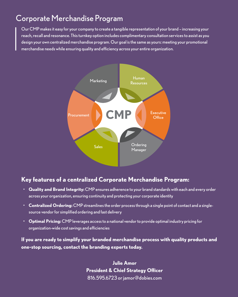### Corporate Merchandise Program

Our CMP makes it easy for your company to create a tangible representation of your brand – increasing your reach, recall and resonance. This turnkey option includes complimentary consultation services to assist as you design your own centralized merchandise program. Our goal is the same as yours: meeting your promotional merchandise needs while ensuring quality and efficiency across your entire organization.



#### **Key features of a centralized Corporate Merchandise Program:**

- **Quality and Brand Integrity:** CMP ensures adherence to your brand standards with each and every order across your organization, ensuring continuity and protecting your corporate identity
- **Centralized Ordering:** CMP streamlines the order process through a single point of contact and a singlesource vendor for simplified ordering and fast delivery
- **Optimal Pricing:** CMP leverages access to a national vendor to provide optimal industry pricing for organization-wide cost savings and efficiencies

**If you are ready to simplify your branded merchandise process with quality products and one-stop sourcing, contact the branding experts today.** 

> **Julie Amor President & Chief Strategy Officer** 816.595.6723 or jamor@dobies.com